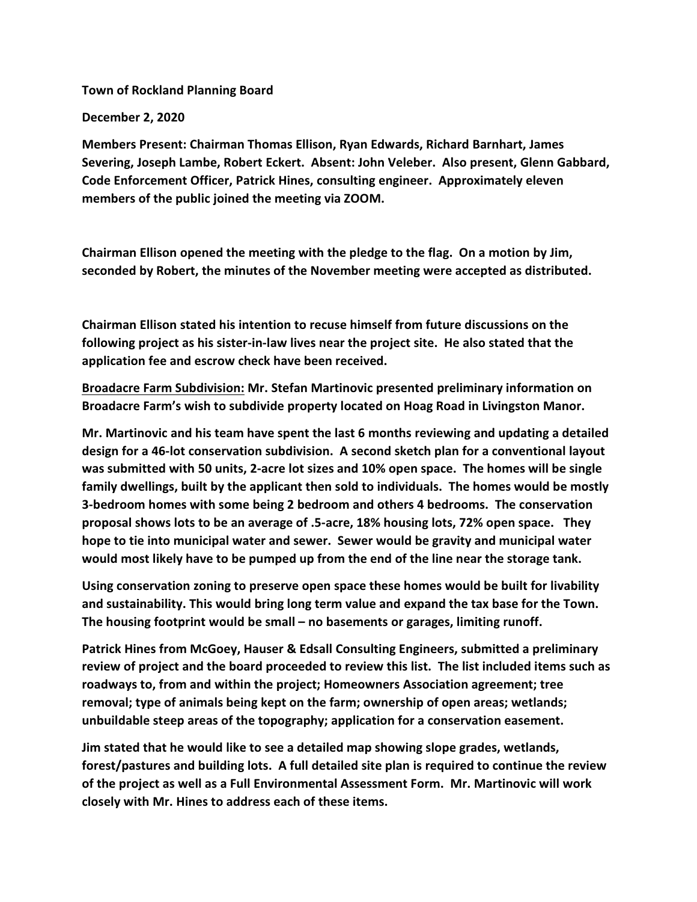**Town of Rockland Planning Board**

**December 2, 2020**

**Members Present: Chairman Thomas Ellison, Ryan Edwards, Richard Barnhart, James Severing, Joseph Lambe, Robert Eckert. Absent: John Veleber. Also present, Glenn Gabbard, Code Enforcement Officer, Patrick Hines, consulting engineer. Approximately eleven members of the public joined the meeting via ZOOM.**

**Chairman Ellison opened the meeting with the pledge to the flag. On a motion by Jim, seconded by Robert, the minutes of the November meeting were accepted as distributed.**

**Chairman Ellison stated his intention to recuse himself from future discussions on the following project as his sister-in-law lives near the project site. He also stated that the application fee and escrow check have been received.**

**Broadacre Farm Subdivision: Mr. Stefan Martinovic presented preliminary information on Broadacre Farm's wish to subdivide property located on Hoag Road in Livingston Manor.** 

**Mr. Martinovic and his team have spent the last 6 months reviewing and updating a detailed design for a 46-lot conservation subdivision. A second sketch plan for a conventional layout was submitted with 50 units, 2-acre lot sizes and 10% open space. The homes will be single family dwellings, built by the applicant then sold to individuals. The homes would be mostly 3-bedroom homes with some being 2 bedroom and others 4 bedrooms. The conservation proposal shows lots to be an average of .5-acre, 18% housing lots, 72% open space. They hope to tie into municipal water and sewer. Sewer would be gravity and municipal water would most likely have to be pumped up from the end of the line near the storage tank.**

**Using conservation zoning to preserve open space these homes would be built for livability and sustainability. This would bring long term value and expand the tax base for the Town. The housing footprint would be small – no basements or garages, limiting runoff.**

**Patrick Hines from McGoey, Hauser & Edsall Consulting Engineers, submitted a preliminary review of project and the board proceeded to review this list. The list included items such as roadways to, from and within the project; Homeowners Association agreement; tree removal; type of animals being kept on the farm; ownership of open areas; wetlands; unbuildable steep areas of the topography; application for a conservation easement.**

**Jim stated that he would like to see a detailed map showing slope grades, wetlands, forest/pastures and building lots. A full detailed site plan is required to continue the review of the project as well as a Full Environmental Assessment Form. Mr. Martinovic will work closely with Mr. Hines to address each of these items.**